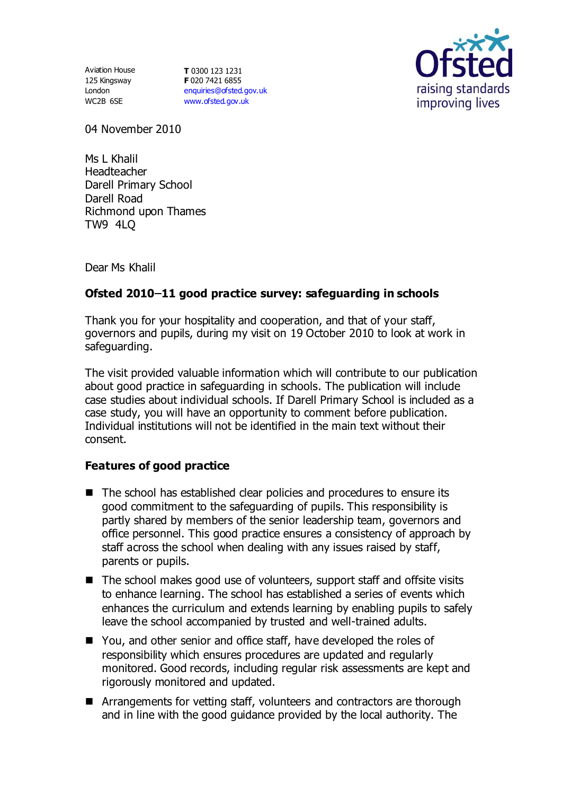125 Kingsway London WC2B 6SE

Aviation House **T** 0300 123 1231 **F** 020 7421 6855 [enquiries@ofsted.gov.uk](mailto:enquiries@ofsted.gov.uk) [www.ofsted.gov.uk](http://www.ofsted.gov.uk/)



04 November 2010

Ms L Khalil Headteacher Darell Primary School Darell Road Richmond upon Thames TW9 4LQ

Dear Ms Khalil

## Ofsted 2010-11 good practice survey: safeguarding in schools

Thank you for your hospitality and cooperation, and that of your staff, governors and pupils, during my visit on 19 October 2010 to look at work in safeguarding.

The visit provided valuable information which will contribute to our publication about good practice in safeguarding in schools. The publication will include case studies about individual schools. If Darell Primary School is included as a case study, you will have an opportunity to comment before publication. Individual institutions will not be identified in the main text without their consent.

## **Features of good practice**

- The school has established clear policies and procedures to ensure its good commitment to the safeguarding of pupils. This responsibility is partly shared by members of the senior leadership team, governors and office personnel. This good practice ensures a consistency of approach by staff across the school when dealing with any issues raised by staff, parents or pupils.
- The school makes good use of volunteers, support staff and offsite visits to enhance learning. The school has established a series of events which enhances the curriculum and extends learning by enabling pupils to safely leave the school accompanied by trusted and well-trained adults.
- You, and other senior and office staff, have developed the roles of responsibility which ensures procedures are updated and regularly monitored. Good records, including regular risk assessments are kept and rigorously monitored and updated.
- Arrangements for vetting staff, volunteers and contractors are thorough and in line with the good guidance provided by the local authority. The